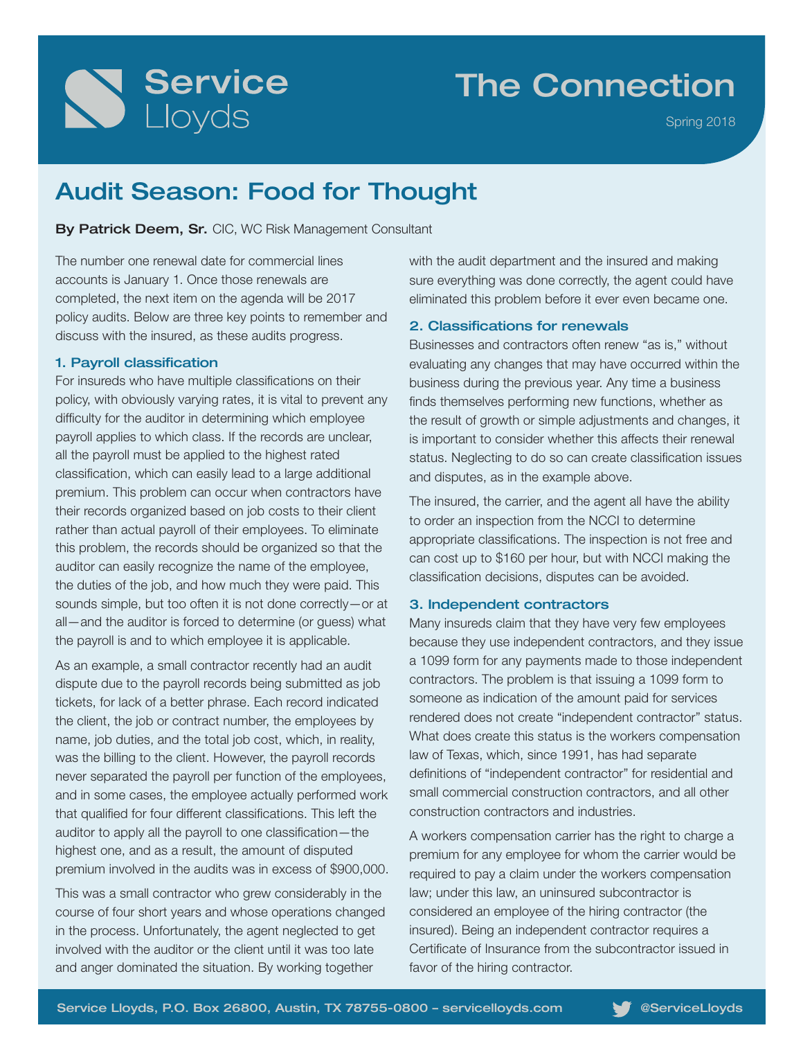# Service

## The Connection

Spring 2018

## Audit Season: Food for Thought

By Patrick Deem, Sr. CIC, WC Risk Management Consultant

The number one renewal date for commercial lines accounts is January 1. Once those renewals are completed, the next item on the agenda will be 2017 policy audits. Below are three key points to remember and discuss with the insured, as these audits progress.

### 1. Payroll classification

For insureds who have multiple classifications on their policy, with obviously varying rates, it is vital to prevent any difficulty for the auditor in determining which employee payroll applies to which class. If the records are unclear, all the payroll must be applied to the highest rated classification, which can easily lead to a large additional premium. This problem can occur when contractors have their records organized based on job costs to their client rather than actual payroll of their employees. To eliminate this problem, the records should be organized so that the auditor can easily recognize the name of the employee, the duties of the job, and how much they were paid. This sounds simple, but too often it is not done correctly—or at all—and the auditor is forced to determine (or guess) what the payroll is and to which employee it is applicable.

As an example, a small contractor recently had an audit dispute due to the payroll records being submitted as job tickets, for lack of a better phrase. Each record indicated the client, the job or contract number, the employees by name, job duties, and the total job cost, which, in reality, was the billing to the client. However, the payroll records never separated the payroll per function of the employees, and in some cases, the employee actually performed work that qualified for four different classifications. This left the auditor to apply all the payroll to one classification—the highest one, and as a result, the amount of disputed premium involved in the audits was in excess of \$900,000.

This was a small contractor who grew considerably in the course of four short years and whose operations changed in the process. Unfortunately, the agent neglected to get involved with the auditor or the client until it was too late and anger dominated the situation. By working together

with the audit department and the insured and making sure everything was done correctly, the agent could have eliminated this problem before it ever even became one.

### 2. Classifications for renewals

Businesses and contractors often renew "as is," without evaluating any changes that may have occurred within the business during the previous year. Any time a business finds themselves performing new functions, whether as the result of growth or simple adjustments and changes, it is important to consider whether this affects their renewal status. Neglecting to do so can create classification issues and disputes, as in the example above.

The insured, the carrier, and the agent all have the ability to order an inspection from the NCCI to determine appropriate classifications. The inspection is not free and can cost up to \$160 per hour, but with NCCI making the classification decisions, disputes can be avoided.

### 3. Independent contractors

Many insureds claim that they have very few employees because they use independent contractors, and they issue a 1099 form for any payments made to those independent contractors. The problem is that issuing a 1099 form to someone as indication of the amount paid for services rendered does not create "independent contractor" status. What does create this status is the workers compensation law of Texas, which, since 1991, has had separate definitions of "independent contractor" for residential and small commercial construction contractors, and all other construction contractors and industries.

A workers compensation carrier has the right to charge a premium for any employee for whom the carrier would be required to pay a claim under the workers compensation law; under this law, an uninsured subcontractor is considered an employee of the hiring contractor (the insured). Being an independent contractor requires a Certificate of Insurance from the subcontractor issued in favor of the hiring contractor.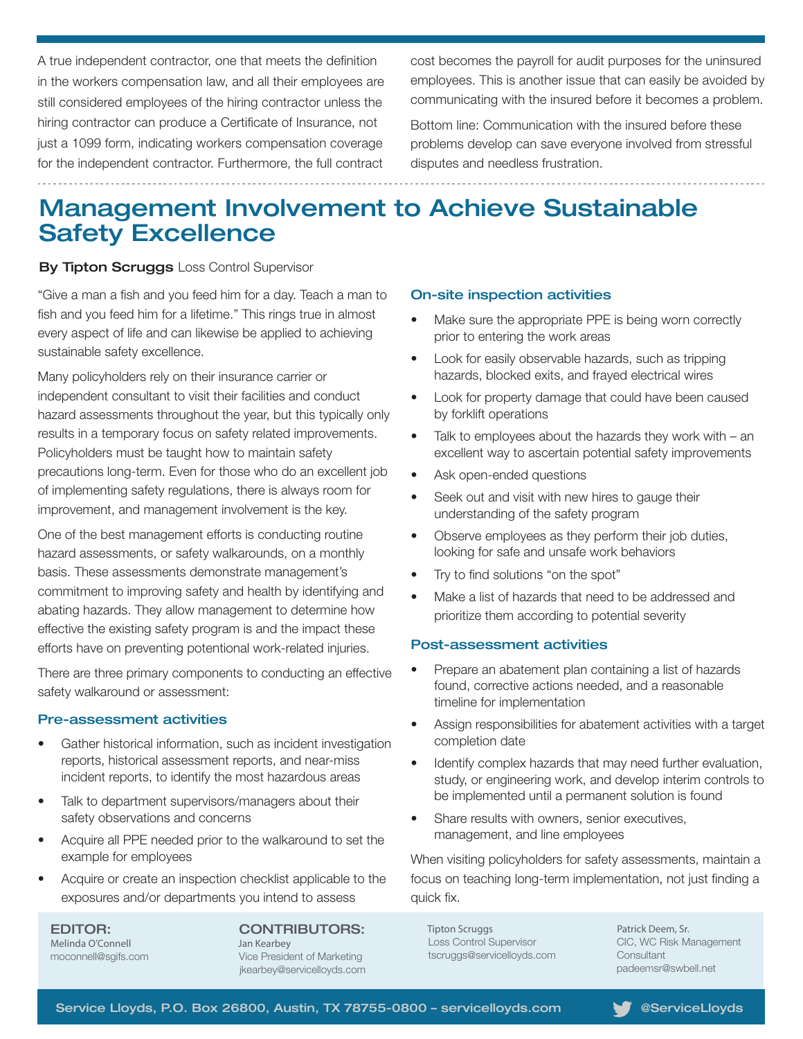A true independent contractor, one that meets the definition in the workers compensation law, and all their employees are still considered employees of the hiring contractor unless the hiring contractor can produce a Certificate of Insurance, not just a 1099 form, indicating workers compensation coverage for the independent contractor. Furthermore, the full contract cost becomes the payroll for audit purposes for the uninsured employees. This is another issue that can easily be avoided by communicating with the insured before it becomes a problem.

Bottom line: Communication with the insured before these problems develop can save everyone involved from stressful disputes and needless frustration.

## Management Involvement to Achieve Sustainable Safety Excellence

**By Tipton Scruggs Loss Control Supervisor** 

"Give a man a fish and you feed him for a day. Teach a man to fish and you feed him for a lifetime." This rings true in almost every aspect of life and can likewise be applied to achieving sustainable safety excellence.

Many policyholders rely on their insurance carrier or independent consultant to visit their facilities and conduct hazard assessments throughout the year, but this typically only results in a temporary focus on safety related improvements. Policyholders must be taught how to maintain safety precautions long-term. Even for those who do an excellent job of implementing safety regulations, there is always room for improvement, and management involvement is the key.

One of the best management efforts is conducting routine hazard assessments, or safety walkarounds, on a monthly basis. These assessments demonstrate management's commitment to improving safety and health by identifying and abating hazards. They allow management to determine how effective the existing safety program is and the impact these efforts have on preventing potentional work-related injuries.

There are three primary components to conducting an effective safety walkaround or assessment:

### Pre-assessment activities

- Gather historical information, such as incident investigation reports, historical assessment reports, and near-miss incident reports, to identify the most hazardous areas
- Talk to department supervisors/managers about their safety observations and concerns
- Acquire all PPE needed prior to the walkaround to set the example for employees
- Acquire or create an inspection checklist applicable to the exposures and/or departments you intend to assess

EDITOR: Melinda O'Connell moconnell@sgifs.com

#### CONTRIBUTORS: Jan Kearbey

Vice President of Marketing jkearbey@servicelloyds.com

### On-site inspection activities

- Make sure the appropriate PPE is being worn correctly prior to entering the work areas
- Look for easily observable hazards, such as tripping hazards, blocked exits, and frayed electrical wires
- Look for property damage that could have been caused by forklift operations
- Talk to employees about the hazards they work with an excellent way to ascertain potential safety improvements
- Ask open-ended questions
- Seek out and visit with new hires to gauge their understanding of the safety program
- Observe employees as they perform their job duties, looking for safe and unsafe work behaviors
- Try to find solutions "on the spot"
- Make a list of hazards that need to be addressed and prioritize them according to potential severity

### Post-assessment activities

- Prepare an abatement plan containing a list of hazards found, corrective actions needed, and a reasonable timeline for implementation
- Assign responsibilities for abatement activities with a target completion date
- Identify complex hazards that may need further evaluation, study, or engineering work, and develop interim controls to be implemented until a permanent solution is found
- Share results with owners, senior executives, management, and line employees

When visiting policyholders for safety assessments, maintain a focus on teaching long-term implementation, not just finding a quick fix.

Tipton Scruggs Loss Control Supervisor tscruggs@servicelloyds.com

Patrick Deem, Sr. CIC, WC Risk Management **Consultant** padeemsr@swbell.net

Service Lloyds, P.O. Box 26800, Austin, TX 78755-0800 - servicelloyds.com **@ServiceLloyds**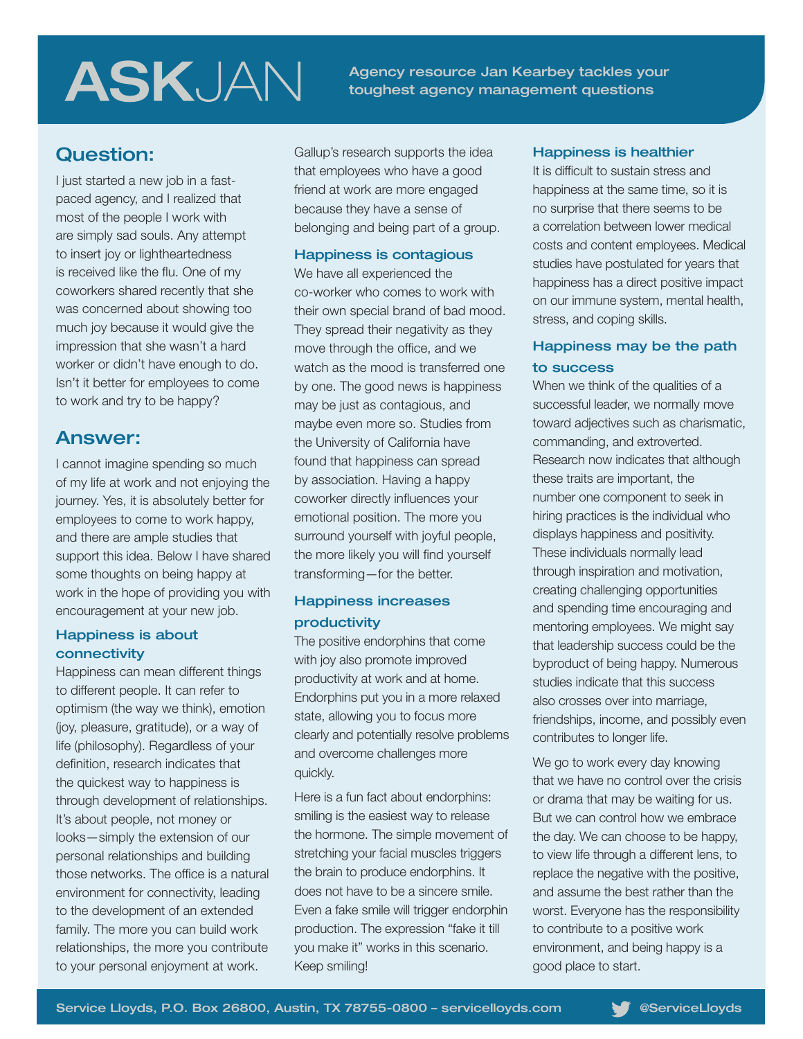## **ASKJAN**

Agency resource Jan Kearbey tackles your toughest agency management questions

### Question:

I just started a new job in a fastpaced agency, and I realized that most of the people I work with are simply sad souls. Any attempt to insert joy or lightheartedness is received like the flu. One of my coworkers shared recently that she was concerned about showing too much joy because it would give the impression that she wasn't a hard worker or didn't have enough to do. Isn't it better for employees to come to work and try to be happy?

### Answer:

I cannot imagine spending so much of my life at work and not enjoying the journey. Yes, it is absolutely better for employees to come to work happy, and there are ample studies that support this idea. Below I have shared some thoughts on being happy at work in the hope of providing you with encouragement at your new job.

### Happiness is about connectivity

Happiness can mean different things to different people. It can refer to optimism (the way we think), emotion (joy, pleasure, gratitude), or a way of life (philosophy). Regardless of your definition, research indicates that the quickest way to happiness is through development of relationships. It's about people, not money or looks—simply the extension of our personal relationships and building those networks. The office is a natural environment for connectivity, leading to the development of an extended family. The more you can build work relationships, the more you contribute to your personal enjoyment at work.

Gallup's research supports the idea that employees who have a good friend at work are more engaged because they have a sense of belonging and being part of a group.

### Happiness is contagious

We have all experienced the co-worker who comes to work with their own special brand of bad mood. They spread their negativity as they move through the office, and we watch as the mood is transferred one by one. The good news is happiness may be just as contagious, and maybe even more so. Studies from the University of California have found that happiness can spread by association. Having a happy coworker directly influences your emotional position. The more you surround yourself with joyful people, the more likely you will find yourself transforming—for the better.

### Happiness increases productivity

The positive endorphins that come with joy also promote improved productivity at work and at home. Endorphins put you in a more relaxed state, allowing you to focus more clearly and potentially resolve problems and overcome challenges more quickly.

Here is a fun fact about endorphins: smiling is the easiest way to release the hormone. The simple movement of stretching your facial muscles triggers the brain to produce endorphins. It does not have to be a sincere smile. Even a fake smile will trigger endorphin production. The expression "fake it till you make it" works in this scenario. Keep smiling!

### Happiness is healthier

It is difficult to sustain stress and happiness at the same time, so it is no surprise that there seems to be a correlation between lower medical costs and content employees. Medical studies have postulated for years that happiness has a direct positive impact on our immune system, mental health, stress, and coping skills.

### Happiness may be the path to success

When we think of the qualities of a successful leader, we normally move toward adjectives such as charismatic, commanding, and extroverted. Research now indicates that although these traits are important, the number one component to seek in hiring practices is the individual who displays happiness and positivity. These individuals normally lead through inspiration and motivation, creating challenging opportunities and spending time encouraging and mentoring employees. We might say that leadership success could be the byproduct of being happy. Numerous studies indicate that this success also crosses over into marriage, friendships, income, and possibly even contributes to longer life.

We go to work every day knowing that we have no control over the crisis or drama that may be waiting for us. But we can control how we embrace the day. We can choose to be happy, to view life through a different lens, to replace the negative with the positive, and assume the best rather than the worst. Everyone has the responsibility to contribute to a positive work environment, and being happy is a good place to start.